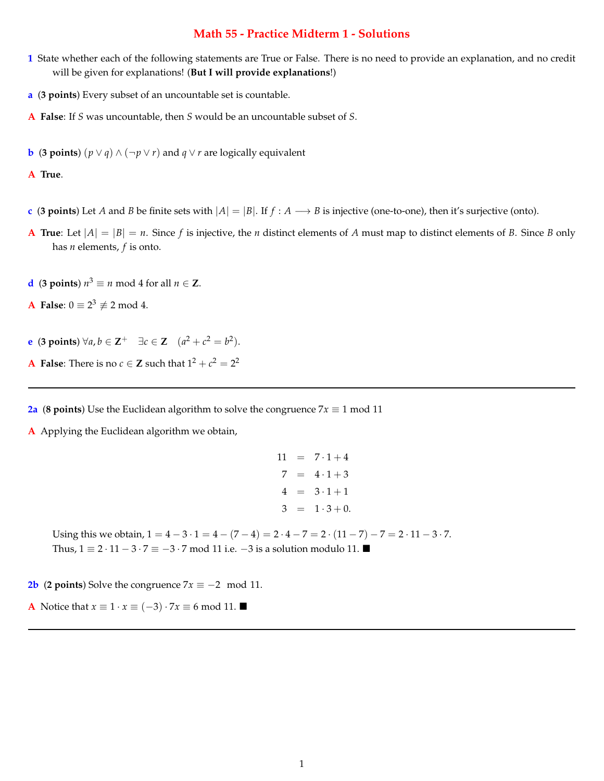# **Math 55 - Practice Midterm 1 - Solutions**

- **1** State whether each of the following statements are True or False. There is no need to provide an explanation, and no credit will be given for explanations! (**But I will provide explanations**!)
- **a** (**3 points**) Every subset of an uncountable set is countable.
- **A False**: If *S* was uncountable, then *S* would be an uncountable subset of *S*.
- **b** (**3 points**)  $(p \lor q) \land (\neg p \lor r)$  and  $q \lor r$  are logically equivalent

**A True**.

- **c** (**3** points) Let *A* and *B* be finite sets with  $|A| = |B|$ . If  $f : A \rightarrow B$  is injective (one-to-one), then it's surjective (onto).
- **A True**: Let  $|A| = |B| = n$ . Since *f* is injective, the *n* distinct elements of *A* must map to distinct elements of *B*. Since *B* only has *n* elements, *f* is onto.
- **d** (**3 points**)  $n^3 \equiv n \text{ mod } 4$  for all  $n \in \mathbb{Z}$ .
- **A** False:  $0 \equiv 2^3 \not\equiv 2 \mod 4$ .
- **e** (**3** points)  $\forall a, b \in \mathbb{Z}^+$   $\exists c \in \mathbb{Z}$   $(a^2 + c^2 = b^2).$
- **A False**: There is no  $c \in \mathbb{Z}$  such that  $1^2 + c^2 = 2^2$

**2a** (**8** points) Use the Euclidean algorithm to solve the congruence  $7x \equiv 1 \text{ mod } 11$ 

**A** Applying the Euclidean algorithm we obtain,

```
11 = 7 \cdot 1 + 47 = 4 \cdot 1 + 34 = 3 \cdot 1 + 13 = 1 \cdot 3 + 0.
```
Using this we obtain,  $1 = 4 - 3 \cdot 1 = 4 - (7 - 4) = 2 \cdot 4 - 7 = 2 \cdot (11 - 7) - 7 = 2 \cdot 11 - 3 \cdot 7$ . Thus,  $1 \equiv 2 \cdot 11 - 3 \cdot 7 \equiv -3 \cdot 7 \mod 11$  i.e.  $-3$  is a solution modulo 11.

**2b** (**2 points**) Solve the congruence  $7x \equiv -2 \mod 11$ .

**A** Notice that  $x \equiv 1 \cdot x \equiv (-3) \cdot 7x \equiv 6 \mod 11$ .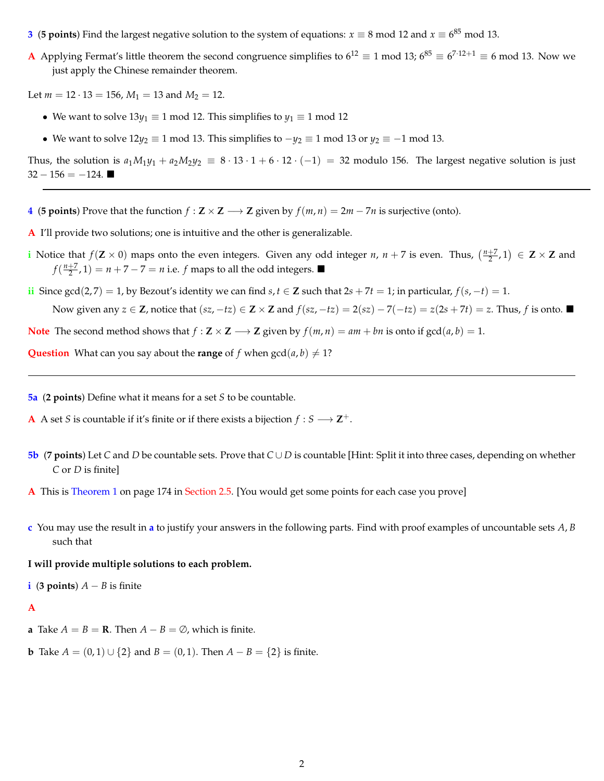- **3** (**5 points**) Find the largest negative solution to the system of equations:  $x \equiv 8 \text{ mod } 12$  and  $x \equiv 6^{85} \text{ mod } 13$ .
- **A** Applying Fermat's little theorem the second congruence simplifies to  $6^{12} \equiv 1 \mod 13$ ;  $6^{85} \equiv 6^{7 \cdot 12+1} \equiv 6 \mod 13$ . Now we just apply the Chinese remainder theorem.

Let  $m = 12 \cdot 13 = 156$ ,  $M_1 = 13$  and  $M_2 = 12$ .

- We want to solve  $13y_1 \equiv 1 \mod 12$ . This simplifies to  $y_1 \equiv 1 \mod 12$
- We want to solve  $12y_2 \equiv 1 \mod 13$ . This simplifies to  $-y_2 \equiv 1 \mod 13$  or  $y_2 \equiv -1 \mod 13$ .

Thus, the solution is  $a_1M_1y_1 + a_2M_2y_2 \equiv 8 \cdot 13 \cdot 1 + 6 \cdot 12 \cdot (-1) = 32$  modulo 156. The largest negative solution is just  $32 - 156 = -124$ .

- **4** (**5 points**) Prove that the function  $f : \mathbb{Z} \times \mathbb{Z} \longrightarrow \mathbb{Z}$  given by  $f(m, n) = 2m 7n$  is surjective (onto).
- **A** I'll provide two solutions; one is intuitive and the other is generalizable.
- **i** Notice that  $f(Z \times 0)$  maps onto the even integers. Given any odd integer *n*,  $n + 7$  is even. Thus,  $\left(\frac{n+7}{2}, 1\right) \in Z \times Z$  and  $f(\frac{n+7}{2}, 1) = n + 7 - 7 = n$  i.e. *f* maps to all the odd integers.
- **ii** Since gcd(2,7) = 1, by Bezout's identity we can find  $s, t \in \mathbb{Z}$  such that  $2s + 7t = 1$ ; in particular,  $f(s, -t) = 1$ . Now given any  $z \in \mathbb{Z}$ , notice that  $(sz, -tz) \in \mathbb{Z} \times \mathbb{Z}$  and  $f(sz, -tz) = 2(sz) - 7(-tz) = z(2s + 7t) = z$ . Thus, f is onto.

**Note** The second method shows that  $f : \mathbf{Z} \times \mathbf{Z} \longrightarrow \mathbf{Z}$  given by  $f(m, n) = am + bn$  is onto if  $gcd(a, b) = 1$ .

**Question** What can you say about the **range** of *f* when  $gcd(a, b) \neq 1$ ?

**5a** (**2 points**) Define what it means for a set *S* to be countable.

- **A** A set *S* is countable if it's finite or if there exists a bijection  $f : S \longrightarrow \mathbb{Z}^+$ .
- **5b** (**7** points) Let *C* and *D* be countable sets. Prove that  $C \cup D$  is countable [Hint: Split it into three cases, depending on whether *C* or *D* is finite]
- **A** This is Theorem 1 on page 174 in Section 2.5. [You would get some points for each case you prove]
- **c** You may use the result in **a** to justify your answers in the following parts. Find with proof examples of uncountable sets *A*, *B* such that

#### **I will provide multiple solutions to each problem.**

**i** (**3** points)  $A - B$  is finite

#### **A**

- **a** Take  $A = B = \mathbf{R}$ . Then  $A B = \emptyset$ , which is finite.
- **b** Take  $A = (0, 1) \cup \{2\}$  and  $B = (0, 1)$ . Then  $A B = \{2\}$  is finite.